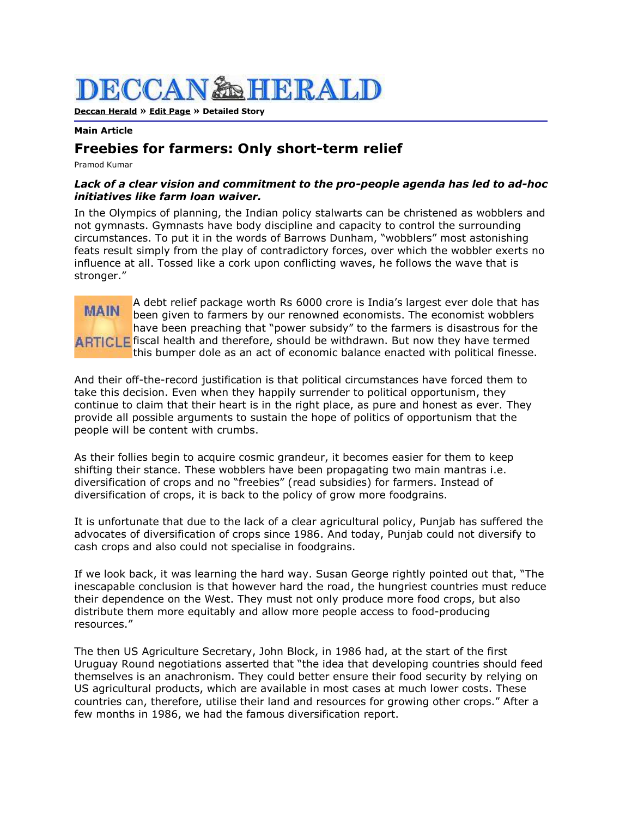## **DECCAN & HERALD**

**[Deccan Herald](http://www.deccanherald.com/Content/Mar122008/update.asp) » [Edit Page](http://www.deccanherald.com/Content/Mar122008/editpage.asp) » Detailed Story**

## **Main Article**

## **Freebies for farmers: Only short-term relief**

Pramod Kumar

## *Lack of a clear vision and commitment to the pro-people agenda has led to ad-hoc initiatives like farm loan waiver.*

In the Olympics of planning, the Indian policy stalwarts can be christened as wobblers and not gymnasts. Gymnasts have body discipline and capacity to control the surrounding circumstances. To put it in the words of Barrows Dunham, "wobblers" most astonishing feats result simply from the play of contradictory forces, over which the wobbler exerts no influence at all. Tossed like a cork upon conflicting waves, he follows the wave that is stronger."

A debt relief package worth Rs 6000 crore is India's largest ever dole that has **MAIN** been given to farmers by our renowned economists. The economist wobblers have been preaching that "power subsidy" to the farmers is disastrous for the **ARTICLE** fiscal health and therefore, should be withdrawn. But now they have termed this bumper dole as an act of economic balance enacted with political finesse.

And their off-the-record justification is that political circumstances have forced them to take this decision. Even when they happily surrender to political opportunism, they continue to claim that their heart is in the right place, as pure and honest as ever. They provide all possible arguments to sustain the hope of politics of opportunism that the people will be content with crumbs.

As their follies begin to acquire cosmic grandeur, it becomes easier for them to keep shifting their stance. These wobblers have been propagating two main mantras i.e. diversification of crops and no "freebies" (read subsidies) for farmers. Instead of diversification of crops, it is back to the policy of grow more foodgrains.

It is unfortunate that due to the lack of a clear agricultural policy, Punjab has suffered the advocates of diversification of crops since 1986. And today, Punjab could not diversify to cash crops and also could not specialise in foodgrains.

If we look back, it was learning the hard way. Susan George rightly pointed out that, "The inescapable conclusion is that however hard the road, the hungriest countries must reduce their dependence on the West. They must not only produce more food crops, but also distribute them more equitably and allow more people access to food-producing resources."

The then US Agriculture Secretary, John Block, in 1986 had, at the start of the first Uruguay Round negotiations asserted that "the idea that developing countries should feed themselves is an anachronism. They could better ensure their food security by relying on US agricultural products, which are available in most cases at much lower costs. These countries can, therefore, utilise their land and resources for growing other crops." After a few months in 1986, we had the famous diversification report.